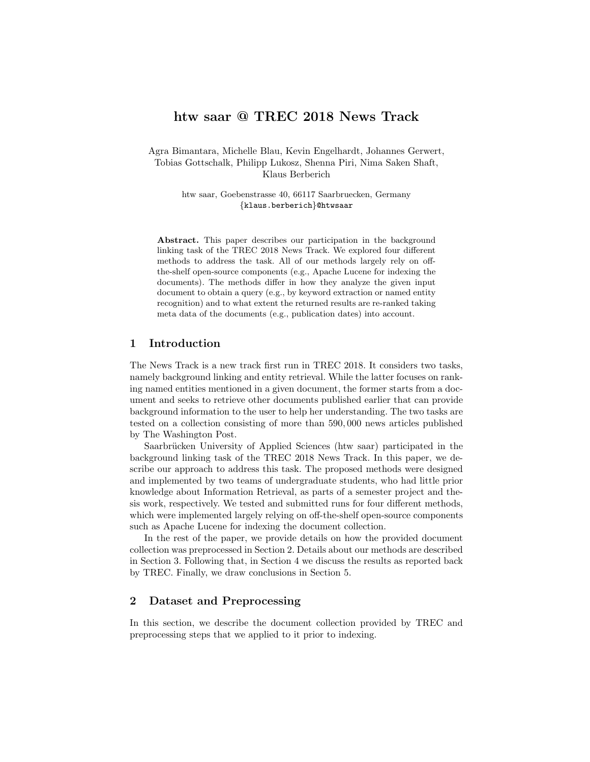# htw saar @ TREC 2018 News Track

Agra Bimantara, Michelle Blau, Kevin Engelhardt, Johannes Gerwert, Tobias Gottschalk, Philipp Lukosz, Shenna Piri, Nima Saken Shaft, Klaus Berberich

> htw saar, Goebenstrasse 40, 66117 Saarbruecken, Germany {klaus.berberich}@htwsaar

Abstract. This paper describes our participation in the background linking task of the TREC 2018 News Track. We explored four different methods to address the task. All of our methods largely rely on offthe-shelf open-source components (e.g., Apache Lucene for indexing the documents). The methods differ in how they analyze the given input document to obtain a query (e.g., by keyword extraction or named entity recognition) and to what extent the returned results are re-ranked taking meta data of the documents (e.g., publication dates) into account.

# 1 Introduction

The News Track is a new track first run in TREC 2018. It considers two tasks, namely background linking and entity retrieval. While the latter focuses on ranking named entities mentioned in a given document, the former starts from a document and seeks to retrieve other documents published earlier that can provide background information to the user to help her understanding. The two tasks are tested on a collection consisting of more than 590, 000 news articles published by The Washington Post.

Saarbrücken University of Applied Sciences (htw saar) participated in the background linking task of the TREC 2018 News Track. In this paper, we describe our approach to address this task. The proposed methods were designed and implemented by two teams of undergraduate students, who had little prior knowledge about Information Retrieval, as parts of a semester project and thesis work, respectively. We tested and submitted runs for four different methods, which were implemented largely relying on off-the-shelf open-source components such as Apache Lucene for indexing the document collection.

In the rest of the paper, we provide details on how the provided document collection was preprocessed in Section 2. Details about our methods are described in Section 3. Following that, in Section 4 we discuss the results as reported back by TREC. Finally, we draw conclusions in Section 5.

## 2 Dataset and Preprocessing

In this section, we describe the document collection provided by TREC and preprocessing steps that we applied to it prior to indexing.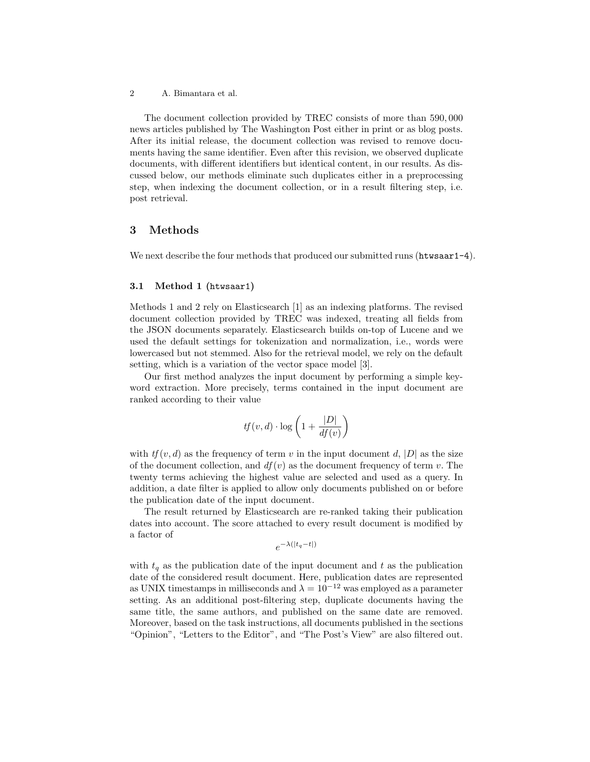The document collection provided by TREC consists of more than 590, 000 news articles published by The Washington Post either in print or as blog posts. After its initial release, the document collection was revised to remove documents having the same identifier. Even after this revision, we observed duplicate documents, with different identifiers but identical content, in our results. As discussed below, our methods eliminate such duplicates either in a preprocessing step, when indexing the document collection, or in a result filtering step, i.e. post retrieval.

### 3 Methods

We next describe the four methods that produced our submitted runs (htwsaar1-4).

#### 3.1 Method 1 (htwsaar1)

Methods 1 and 2 rely on Elasticsearch [1] as an indexing platforms. The revised document collection provided by TREC was indexed, treating all fields from the JSON documents separately. Elasticsearch builds on-top of Lucene and we used the default settings for tokenization and normalization, i.e., words were lowercased but not stemmed. Also for the retrieval model, we rely on the default setting, which is a variation of the vector space model [3].

Our first method analyzes the input document by performing a simple keyword extraction. More precisely, terms contained in the input document are ranked according to their value

$$
tf(v, d) \cdot \log\left(1 + \frac{|D|}{df(v)}\right)
$$

with  $tf(v, d)$  as the frequency of term v in the input document d, |D| as the size of the document collection, and  $df(v)$  as the document frequency of term v. The twenty terms achieving the highest value are selected and used as a query. In addition, a date filter is applied to allow only documents published on or before the publication date of the input document.

The result returned by Elasticsearch are re-ranked taking their publication dates into account. The score attached to every result document is modified by a factor of

$$
e^{-\lambda(|t_q-t|)}
$$

with  $t_q$  as the publication date of the input document and t as the publication date of the considered result document. Here, publication dates are represented as UNIX timestamps in milliseconds and  $\lambda = 10^{-12}$  was employed as a parameter setting. As an additional post-filtering step, duplicate documents having the same title, the same authors, and published on the same date are removed. Moreover, based on the task instructions, all documents published in the sections "Opinion", "Letters to the Editor", and "The Post's View" are also filtered out.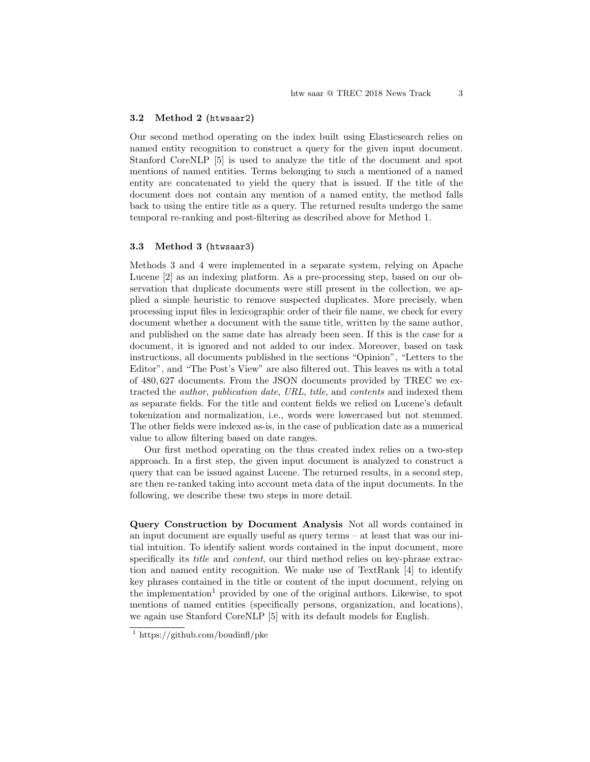#### 3.2 Method 2 (htwsaar2)

Our second method operating on the index built using Elasticsearch relies on named entity recognition to construct a query for the given input document. Stanford CoreNLP [5] is used to analyze the title of the document and spot mentions of named entities. Terms belonging to such a mentioned of a named entity are concatenated to yield the query that is issued. If the title of the document does not contain any mention of a named entity, the method falls back to using the entire title as a query. The returned results undergo the same temporal re-ranking and post-filtering as described above for Method 1.

### 3.3 Method 3 (htwsaar3)

Methods 3 and 4 were implemented in a separate system, relying on Apache Lucene [2] as an indexing platform. As a pre-processing step, based on our observation that duplicate documents were still present in the collection, we applied a simple heuristic to remove suspected duplicates. More precisely, when processing input files in lexicographic order of their file name, we check for every document whether a document with the same title, written by the same author, and published on the same date has already been seen. If this is the case for a document, it is ignored and not added to our index. Moreover, based on task instructions, all documents published in the sections "Opinion", "Letters to the Editor", and "The Post's View" are also filtered out. This leaves us with a total of 480, 627 documents. From the JSON documents provided by TREC we extracted the author, publication date, URL, title, and contents and indexed them as separate fields. For the title and content fields we relied on Lucene's default tokenization and normalization, i.e., words were lowercased but not stemmed. The other fields were indexed as-is, in the case of publication date as a numerical value to allow filtering based on date ranges.

Our first method operating on the thus created index relies on a two-step approach. In a first step, the given input document is analyzed to construct a query that can be issued against Lucene. The returned results, in a second step, are then re-ranked taking into account meta data of the input documents. In the following, we describe these two steps in more detail.

Query Construction by Document Analysis Not all words contained in an input document are equally useful as query terms – at least that was our initial intuition. To identify salient words contained in the input document, more specifically its *title* and *content*, our third method relies on key-phrase extraction and named entity recognition. We make use of TextRank [4] to identify key phrases contained in the title or content of the input document, relying on the implementation<sup>1</sup> provided by one of the original authors. Likewise, to spot mentions of named entities (specifically persons, organization, and locations), we again use Stanford CoreNLP [5] with its default models for English.

<sup>&</sup>lt;sup>1</sup> https://github.com/boudinfl/pke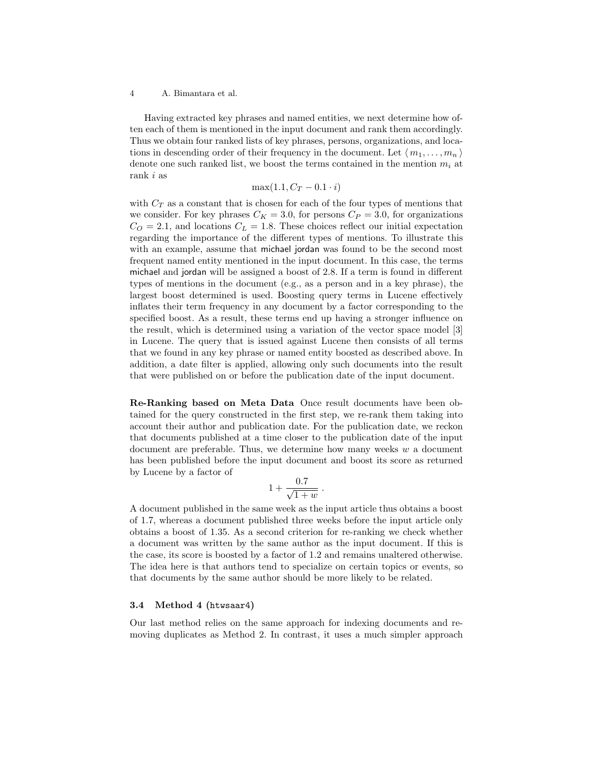Having extracted key phrases and named entities, we next determine how often each of them is mentioned in the input document and rank them accordingly. Thus we obtain four ranked lists of key phrases, persons, organizations, and locations in descending order of their frequency in the document. Let  $\langle m_1, \ldots, m_n \rangle$ denote one such ranked list, we boost the terms contained in the mention  $m_i$  at rank i as

$$
\max(1.1, C_T - 0.1 \cdot i)
$$

with  $C_T$  as a constant that is chosen for each of the four types of mentions that we consider. For key phrases  $C_K = 3.0$ , for persons  $C_P = 3.0$ , for organizations  $C<sub>O</sub> = 2.1$ , and locations  $C<sub>L</sub> = 1.8$ . These choices reflect our initial expectation regarding the importance of the different types of mentions. To illustrate this with an example, assume that michael jordan was found to be the second most frequent named entity mentioned in the input document. In this case, the terms michael and jordan will be assigned a boost of 2.8. If a term is found in different types of mentions in the document (e.g., as a person and in a key phrase), the largest boost determined is used. Boosting query terms in Lucene effectively inflates their term frequency in any document by a factor corresponding to the specified boost. As a result, these terms end up having a stronger influence on the result, which is determined using a variation of the vector space model [3] in Lucene. The query that is issued against Lucene then consists of all terms that we found in any key phrase or named entity boosted as described above. In addition, a date filter is applied, allowing only such documents into the result that were published on or before the publication date of the input document.

Re-Ranking based on Meta Data Once result documents have been obtained for the query constructed in the first step, we re-rank them taking into account their author and publication date. For the publication date, we reckon that documents published at a time closer to the publication date of the input document are preferable. Thus, we determine how many weeks  $w$  a document has been published before the input document and boost its score as returned by Lucene by a factor of

$$
1+\frac{0.7}{\sqrt{1+w}}.
$$

A document published in the same week as the input article thus obtains a boost of 1.7, whereas a document published three weeks before the input article only obtains a boost of 1.35. As a second criterion for re-ranking we check whether a document was written by the same author as the input document. If this is the case, its score is boosted by a factor of 1.2 and remains unaltered otherwise. The idea here is that authors tend to specialize on certain topics or events, so that documents by the same author should be more likely to be related.

#### 3.4 Method 4 (htwsaar4)

Our last method relies on the same approach for indexing documents and removing duplicates as Method 2. In contrast, it uses a much simpler approach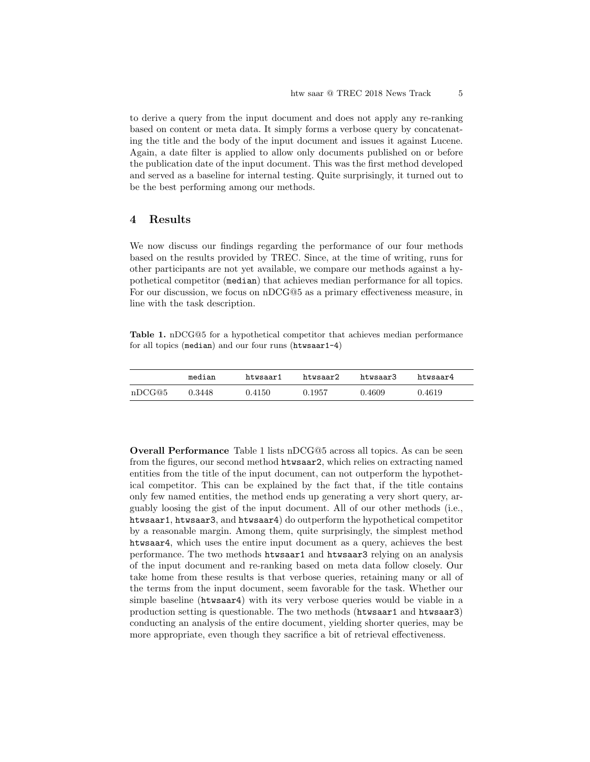to derive a query from the input document and does not apply any re-ranking based on content or meta data. It simply forms a verbose query by concatenating the title and the body of the input document and issues it against Lucene. Again, a date filter is applied to allow only documents published on or before the publication date of the input document. This was the first method developed and served as a baseline for internal testing. Quite surprisingly, it turned out to be the best performing among our methods.

## 4 Results

We now discuss our findings regarding the performance of our four methods based on the results provided by TREC. Since, at the time of writing, runs for other participants are not yet available, we compare our methods against a hypothetical competitor (median) that achieves median performance for all topics. For our discussion, we focus on nDCG@5 as a primary effectiveness measure, in line with the task description.

Table 1. nDCG@5 for a hypothetical competitor that achieves median performance for all topics (median) and our four runs (htwsaar1-4)

|        | median | htwsaar1 | htwsaar2 | htwsaar3 | htwsaar4 |
|--------|--------|----------|----------|----------|----------|
| nDCG@5 | 0.3448 | 0.4150   | 0.1957   | 0.4609   | 0.4619   |

Overall Performance Table 1 lists nDCG@5 across all topics. As can be seen from the figures, our second method htwsaar2, which relies on extracting named entities from the title of the input document, can not outperform the hypothetical competitor. This can be explained by the fact that, if the title contains only few named entities, the method ends up generating a very short query, arguably loosing the gist of the input document. All of our other methods (i.e., htwsaar1, htwsaar3, and htwsaar4) do outperform the hypothetical competitor by a reasonable margin. Among them, quite surprisingly, the simplest method htwsaar4, which uses the entire input document as a query, achieves the best performance. The two methods htwsaar1 and htwsaar3 relying on an analysis of the input document and re-ranking based on meta data follow closely. Our take home from these results is that verbose queries, retaining many or all of the terms from the input document, seem favorable for the task. Whether our simple baseline (htwsaar4) with its very verbose queries would be viable in a production setting is questionable. The two methods (htwsaar1 and htwsaar3) conducting an analysis of the entire document, yielding shorter queries, may be more appropriate, even though they sacrifice a bit of retrieval effectiveness.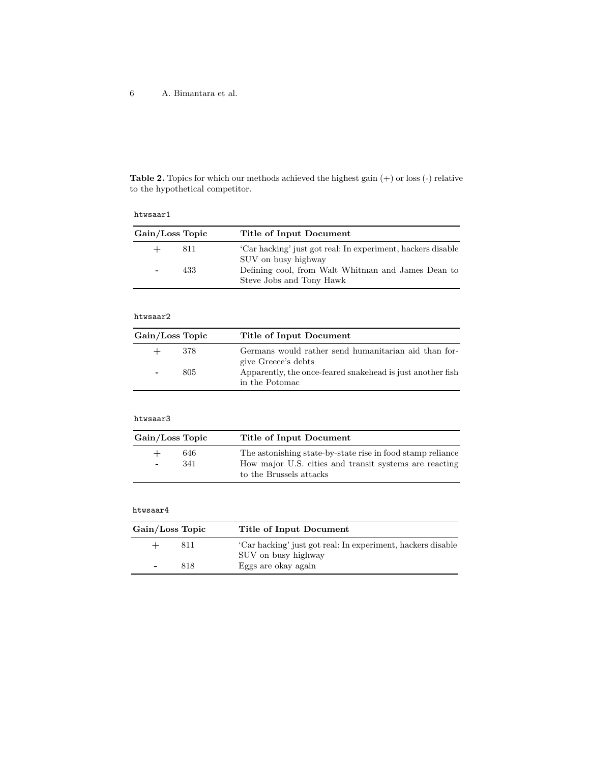Table 2. Topics for which our methods achieved the highest gain  $(+)$  or loss  $(-)$  relative to the hypothetical competitor.

### htwsaar1

| Gain/Loss Topic |     | Title of Input Document                                                            |  |
|-----------------|-----|------------------------------------------------------------------------------------|--|
|                 | 811 | 'Car hacking' just got real: In experiment, hackers disable<br>SUV on busy highway |  |
|                 | 433 | Defining cool, from Walt Whitman and James Dean to<br>Steve Jobs and Tony Hawk     |  |

### htwsaar2

| Gain/Loss Topic          |     | Title of Input Document                                                      |
|--------------------------|-----|------------------------------------------------------------------------------|
| $+$                      | 378 | Germans would rather send humanitarian aid than for-<br>give Greece's debts  |
| $\overline{\phantom{a}}$ | 805 | Apparently, the once-feared snakehead is just another fish<br>in the Potomac |

### htwsaar3

| Gain/Loss Topic                               | Title of Input Document                                                                                                                         |
|-----------------------------------------------|-------------------------------------------------------------------------------------------------------------------------------------------------|
| 646<br>$+$<br>341<br>$\overline{\phantom{0}}$ | The astonishing state-by-state rise in food stamp reliance<br>How major U.S. cities and transit systems are reacting<br>to the Brussels attacks |

#### htwsaar4

| Gain/Loss Topic |     | Title of Input Document                                                            |
|-----------------|-----|------------------------------------------------------------------------------------|
|                 | 811 | 'Car hacking' just got real: In experiment, hackers disable<br>SUV on busy highway |
| ٠               | 818 | Eggs are okay again                                                                |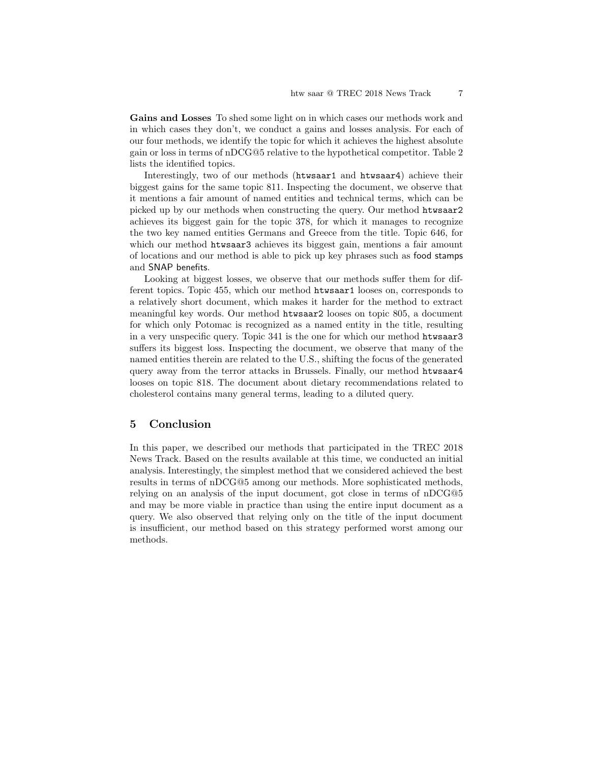Gains and Losses To shed some light on in which cases our methods work and in which cases they don't, we conduct a gains and losses analysis. For each of our four methods, we identify the topic for which it achieves the highest absolute gain or loss in terms of nDCG@5 relative to the hypothetical competitor. Table 2 lists the identified topics.

Interestingly, two of our methods (htwsaar1 and htwsaar4) achieve their biggest gains for the same topic 811. Inspecting the document, we observe that it mentions a fair amount of named entities and technical terms, which can be picked up by our methods when constructing the query. Our method htwsaar2 achieves its biggest gain for the topic 378, for which it manages to recognize the two key named entities Germans and Greece from the title. Topic 646, for which our method htwsaar3 achieves its biggest gain, mentions a fair amount of locations and our method is able to pick up key phrases such as food stamps and SNAP benefits.

Looking at biggest losses, we observe that our methods suffer them for different topics. Topic 455, which our method htwsaar1 looses on, corresponds to a relatively short document, which makes it harder for the method to extract meaningful key words. Our method htwsaar2 looses on topic 805, a document for which only Potomac is recognized as a named entity in the title, resulting in a very unspecific query. Topic 341 is the one for which our method htwsaar3 suffers its biggest loss. Inspecting the document, we observe that many of the named entities therein are related to the U.S., shifting the focus of the generated query away from the terror attacks in Brussels. Finally, our method htwsaar4 looses on topic 818. The document about dietary recommendations related to cholesterol contains many general terms, leading to a diluted query.

### 5 Conclusion

In this paper, we described our methods that participated in the TREC 2018 News Track. Based on the results available at this time, we conducted an initial analysis. Interestingly, the simplest method that we considered achieved the best results in terms of nDCG@5 among our methods. More sophisticated methods, relying on an analysis of the input document, got close in terms of nDCG@5 and may be more viable in practice than using the entire input document as a query. We also observed that relying only on the title of the input document is insufficient, our method based on this strategy performed worst among our methods.